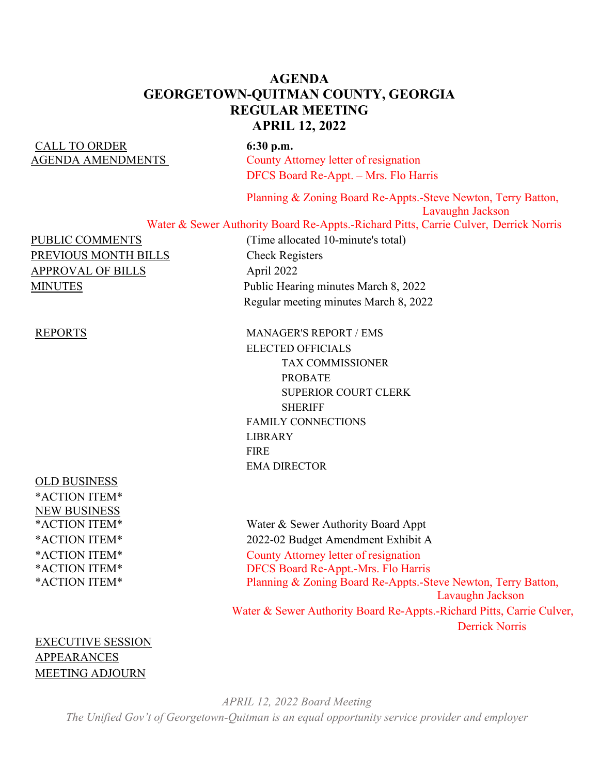## **AGENDA GEORGETOWN-QUITMAN COUNTY, GEORGIA REGULAR MEETING APRIL 12, 2022**

# CALL TO ORDER **6:30 p.m.**

AGENDA AMENDMENTS County Attorney letter of resignation DFCS Board Re-Appt. – Mrs. Flo Harris

> Planning & Zoning Board Re-Appts.-Steve Newton, Terry Batton, Lavaughn Jackson

Water & Sewer Authority Board Re-Appts.-Richard Pitts, Carrie Culver, Derrick Norris

PUBLIC COMMENTS (Time allocated 10-minute's total) PREVIOUS MONTH BILLS<br>Check Registers APPROVAL OF BILLS April 2022

OLD BUSINESS \*ACTION ITEM\* NEW BUSINESS

MINUTES Public Hearing minutes March 8, 2022 Regular meeting minutes March 8, 2022

REPORTS MANAGER'S REPORT / EMS ELECTED OFFICIALS TAX COMMISSIONER PROBATE SUPERIOR COURT CLERK **SHERIFF**  FAMILY CONNECTIONS LIBRARY FIRE EMA DIRECTOR

\*ACTION ITEM\* Water & Sewer Authority Board Appt \*ACTION ITEM\* 2022-02 Budget Amendment Exhibit A \*ACTION ITEM\* County Attorney letter of resignation \*ACTION ITEM\* DFCS Board Re-Appt.-Mrs. Flo Harris \*ACTION ITEM\* Planning & Zoning Board Re-Appts.-Steve Newton, Terry Batton, Lavaughn Jackson Water & Sewer Authority Board Re-Appts.-Richard Pitts, Carrie Culver, Derrick Norris

EXECUTIVE SESSION APPEARANCES MEETING ADJOURN

> *APRIL 12, 2022 Board Meeting The Unified Gov't of Georgetown-Quitman is an equal opportunity service provider and employer*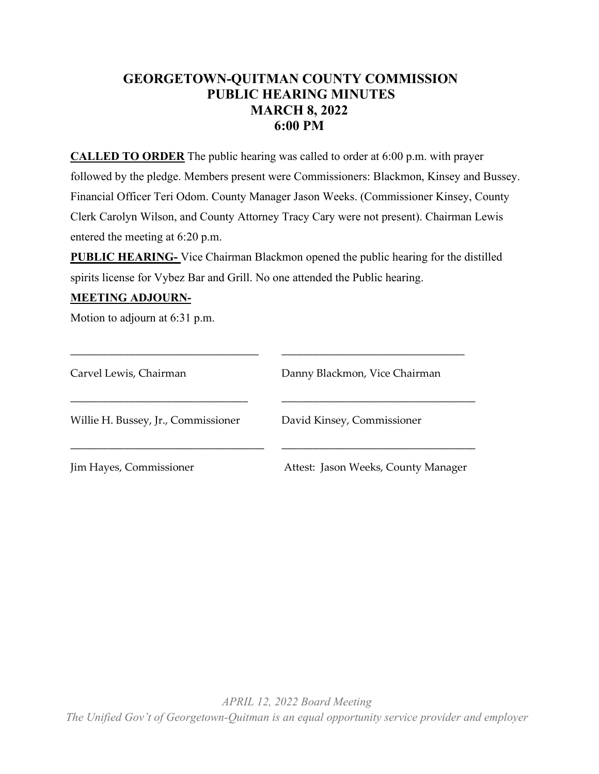# **GEORGETOWN-QUITMAN COUNTY COMMISSION PUBLIC HEARING MINUTES MARCH 8, 2022 6:00 PM**

**CALLED TO ORDER** The public hearing was called to order at 6:00 p.m. with prayer followed by the pledge. Members present were Commissioners: Blackmon, Kinsey and Bussey. Financial Officer Teri Odom. County Manager Jason Weeks. (Commissioner Kinsey, County Clerk Carolyn Wilson, and County Attorney Tracy Cary were not present). Chairman Lewis entered the meeting at 6:20 p.m.

**PUBLIC HEARING-** Vice Chairman Blackmon opened the public hearing for the distilled spirits license for Vybez Bar and Grill. No one attended the Public hearing.

#### **MEETING ADJOURN-**

Motion to adjourn at 6:31 p.m.

| Carvel Lewis, Chairman              | Danny Blackmon, Vice Chairman       |
|-------------------------------------|-------------------------------------|
| Willie H. Bussey, Jr., Commissioner | David Kinsey, Commissioner          |
| Jim Hayes, Commissioner             | Attest: Jason Weeks, County Manager |

\_\_\_\_\_\_\_\_\_\_\_\_\_\_\_\_\_\_\_\_\_\_\_\_\_\_\_\_\_\_\_\_\_\_\_ \_\_\_\_\_\_\_\_\_\_\_\_\_\_\_\_\_\_\_\_\_\_\_\_\_\_\_\_\_\_\_\_\_\_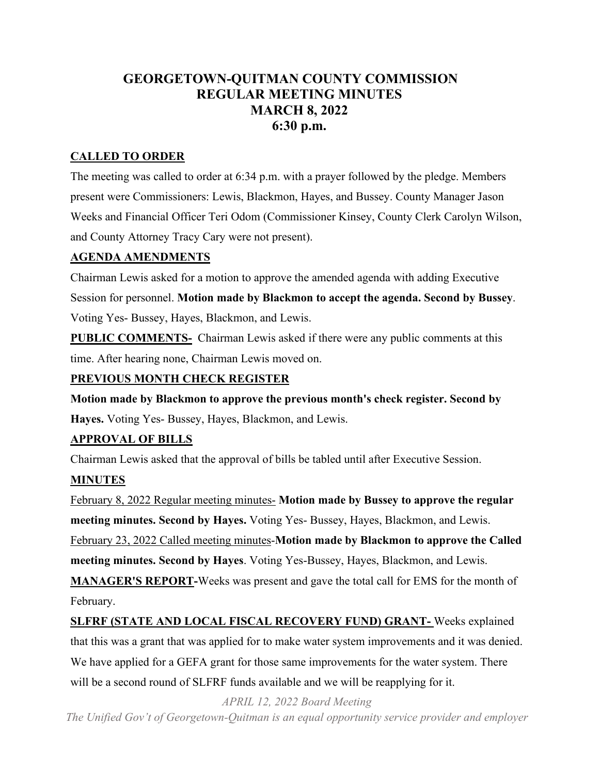# **GEORGETOWN-QUITMAN COUNTY COMMISSION REGULAR MEETING MINUTES MARCH 8, 2022 6:30 p.m.**

#### **CALLED TO ORDER**

The meeting was called to order at 6:34 p.m. with a prayer followed by the pledge. Members present were Commissioners: Lewis, Blackmon, Hayes, and Bussey. County Manager Jason Weeks and Financial Officer Teri Odom (Commissioner Kinsey, County Clerk Carolyn Wilson, and County Attorney Tracy Cary were not present).

#### **AGENDA AMENDMENTS**

Chairman Lewis asked for a motion to approve the amended agenda with adding Executive Session for personnel. **Motion made by Blackmon to accept the agenda. Second by Bussey**. Voting Yes- Bussey, Hayes, Blackmon, and Lewis.

**PUBLIC COMMENTS-** Chairman Lewis asked if there were any public comments at this time. After hearing none, Chairman Lewis moved on.

## **PREVIOUS MONTH CHECK REGISTER**

**Motion made by Blackmon to approve the previous month's check register. Second by Hayes.** Voting Yes- Bussey, Hayes, Blackmon, and Lewis.

#### **APPROVAL OF BILLS**

Chairman Lewis asked that the approval of bills be tabled until after Executive Session.

## **MINUTES**

February 8, 2022 Regular meeting minutes- **Motion made by Bussey to approve the regular meeting minutes. Second by Hayes.** Voting Yes- Bussey, Hayes, Blackmon, and Lewis. February 23, 2022 Called meeting minutes-**Motion made by Blackmon to approve the Called meeting minutes. Second by Hayes**. Voting Yes-Bussey, Hayes, Blackmon, and Lewis. **MANAGER'S REPORT-**Weeks was present and gave the total call for EMS for the month of

February.

**SLFRF (STATE AND LOCAL FISCAL RECOVERY FUND) GRANT-** Weeks explained that this was a grant that was applied for to make water system improvements and it was denied. We have applied for a GEFA grant for those same improvements for the water system. There will be a second round of SLFRF funds available and we will be reapplying for it.

*APRIL 12, 2022 Board Meeting* 

*The Unified Gov't of Georgetown-Quitman is an equal opportunity service provider and employer*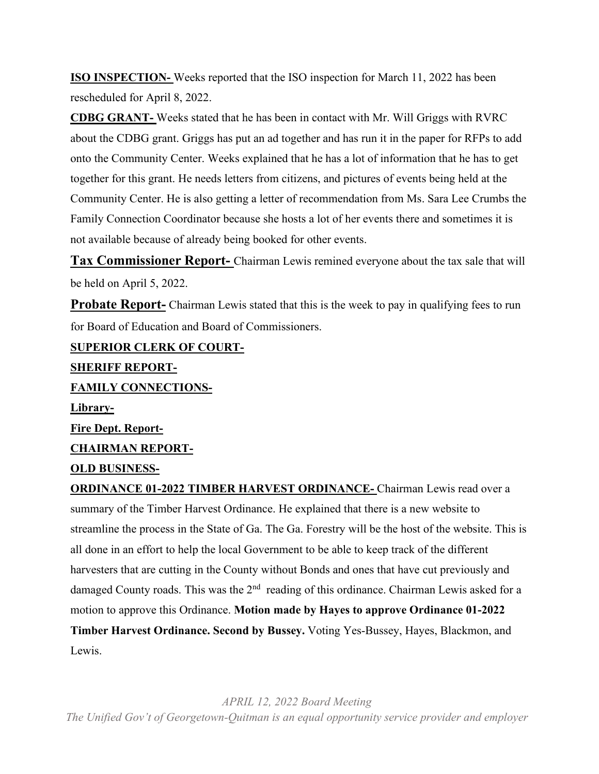**ISO INSPECTION-** Weeks reported that the ISO inspection for March 11, 2022 has been rescheduled for April 8, 2022.

**CDBG GRANT-** Weeks stated that he has been in contact with Mr. Will Griggs with RVRC about the CDBG grant. Griggs has put an ad together and has run it in the paper for RFPs to add onto the Community Center. Weeks explained that he has a lot of information that he has to get together for this grant. He needs letters from citizens, and pictures of events being held at the Community Center. He is also getting a letter of recommendation from Ms. Sara Lee Crumbs the Family Connection Coordinator because she hosts a lot of her events there and sometimes it is not available because of already being booked for other events.

**Tax Commissioner Report-** Chairman Lewis remined everyone about the tax sale that will be held on April 5, 2022.

**Probate Report-** Chairman Lewis stated that this is the week to pay in qualifying fees to run for Board of Education and Board of Commissioners.

**SUPERIOR CLERK OF COURT-SHERIFF REPORT-FAMILY CONNECTIONS-Library-Fire Dept. Report-CHAIRMAN REPORT-OLD BUSINESS-**

**ORDINANCE 01-2022 TIMBER HARVEST ORDINANCE-** Chairman Lewis read over a summary of the Timber Harvest Ordinance. He explained that there is a new website to streamline the process in the State of Ga. The Ga. Forestry will be the host of the website. This is all done in an effort to help the local Government to be able to keep track of the different harvesters that are cutting in the County without Bonds and ones that have cut previously and damaged County roads. This was the  $2<sup>nd</sup>$  reading of this ordinance. Chairman Lewis asked for a motion to approve this Ordinance. **Motion made by Hayes to approve Ordinance 01-2022 Timber Harvest Ordinance. Second by Bussey.** Voting Yes-Bussey, Hayes, Blackmon, and Lewis.

*APRIL 12, 2022 Board Meeting The Unified Gov't of Georgetown-Quitman is an equal opportunity service provider and employer*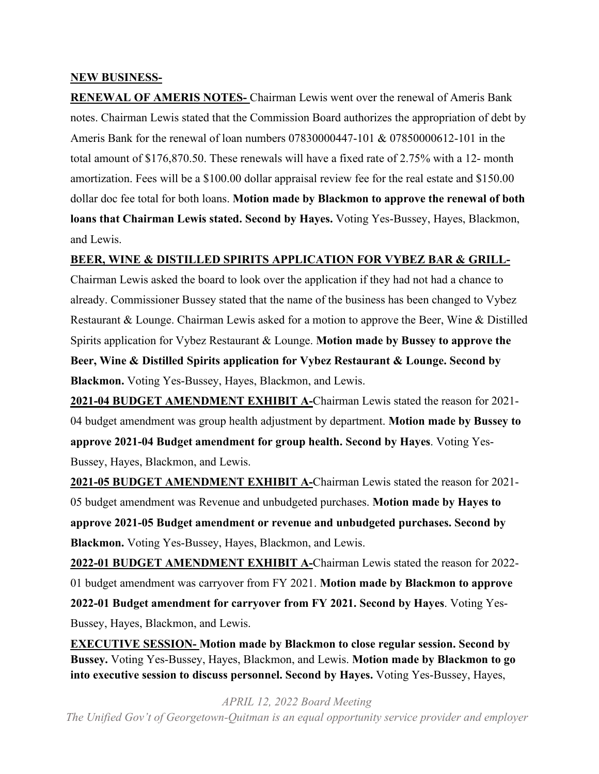#### **NEW BUSINESS-**

**RENEWAL OF AMERIS NOTES-** Chairman Lewis went over the renewal of Ameris Bank notes. Chairman Lewis stated that the Commission Board authorizes the appropriation of debt by Ameris Bank for the renewal of loan numbers 07830000447-101 & 07850000612-101 in the total amount of \$176,870.50. These renewals will have a fixed rate of 2.75% with a 12- month amortization. Fees will be a \$100.00 dollar appraisal review fee for the real estate and \$150.00 dollar doc fee total for both loans. **Motion made by Blackmon to approve the renewal of both loans that Chairman Lewis stated. Second by Hayes.** Voting Yes-Bussey, Hayes, Blackmon, and Lewis.

#### **BEER, WINE & DISTILLED SPIRITS APPLICATION FOR VYBEZ BAR & GRILL-**

Chairman Lewis asked the board to look over the application if they had not had a chance to already. Commissioner Bussey stated that the name of the business has been changed to Vybez Restaurant & Lounge. Chairman Lewis asked for a motion to approve the Beer, Wine & Distilled Spirits application for Vybez Restaurant & Lounge. **Motion made by Bussey to approve the Beer, Wine & Distilled Spirits application for Vybez Restaurant & Lounge. Second by Blackmon.** Voting Yes-Bussey, Hayes, Blackmon, and Lewis.

**2021-04 BUDGET AMENDMENT EXHIBIT A-**Chairman Lewis stated the reason for 2021- 04 budget amendment was group health adjustment by department. **Motion made by Bussey to approve 2021-04 Budget amendment for group health. Second by Hayes**. Voting Yes-Bussey, Hayes, Blackmon, and Lewis.

**2021-05 BUDGET AMENDMENT EXHIBIT A-**Chairman Lewis stated the reason for 2021- 05 budget amendment was Revenue and unbudgeted purchases. **Motion made by Hayes to approve 2021-05 Budget amendment or revenue and unbudgeted purchases. Second by Blackmon.** Voting Yes-Bussey, Hayes, Blackmon, and Lewis.

**2022-01 BUDGET AMENDMENT EXHIBIT A-**Chairman Lewis stated the reason for 2022- 01 budget amendment was carryover from FY 2021. **Motion made by Blackmon to approve 2022-01 Budget amendment for carryover from FY 2021. Second by Hayes**. Voting Yes-Bussey, Hayes, Blackmon, and Lewis.

**EXECUTIVE SESSION- Motion made by Blackmon to close regular session. Second by Bussey.** Voting Yes-Bussey, Hayes, Blackmon, and Lewis. **Motion made by Blackmon to go into executive session to discuss personnel. Second by Hayes.** Voting Yes-Bussey, Hayes,

*APRIL 12, 2022 Board Meeting The Unified Gov't of Georgetown-Quitman is an equal opportunity service provider and employer*